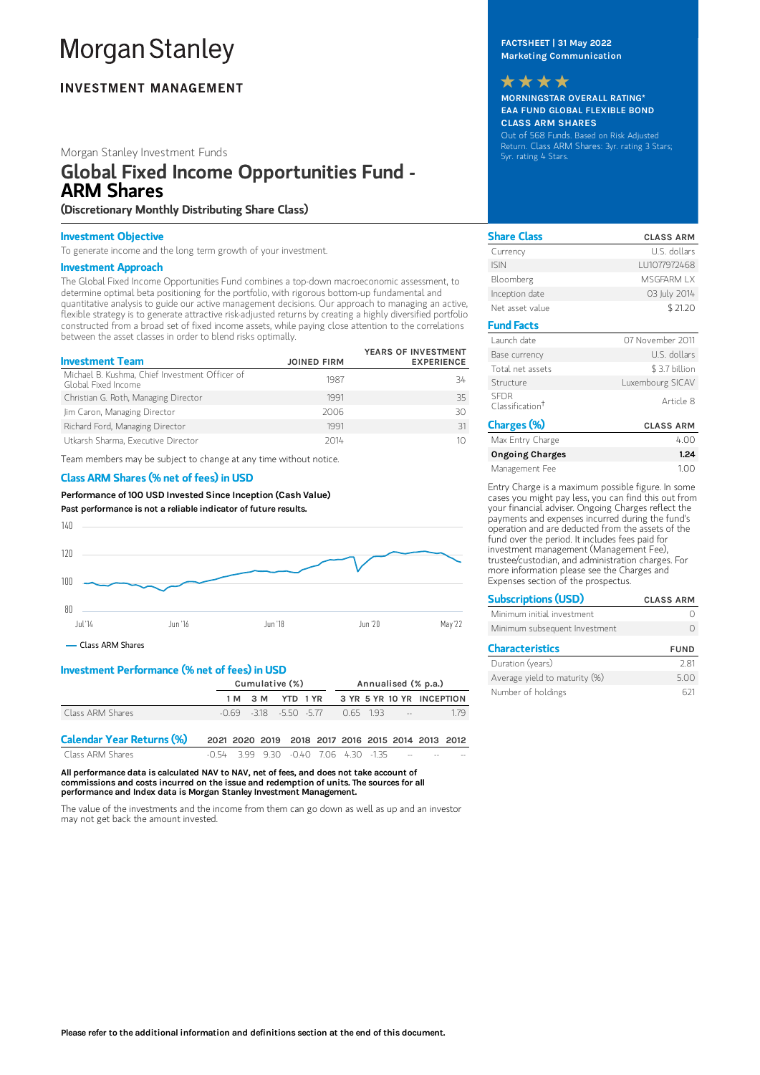# **Morgan Stanley**

### **INVESTMENT MANAGEMENT**

#### Morgan Stanley Investment Funds

## Global Fixed Income Opportunities Fund - ARM Shares

(Discretionary Monthly Distributing Share Class)

#### Investment Objective

To generate income and the long term growth of your investment.

#### Investment Approach

The Global Fixed Income Opportunities Fund combines a top-down macroeconomic assessment, to determine optimal beta positioning for the portfolio, with rigorous bottom-up fundamental and quantitative analysis to guide our active management decisions. Our approach to managing an active, flexible strategy is to generate attractive risk-adjusted returns by creating a highly diversified portfolio constructed from a broad set of fixed income assets, while paying close attention to the correlations between the asset classes in order to blend risks optimally.

| <b>Investment Team</b>                                                | <b>JOINED FIRM</b> | YEARS OF INVESTMENT<br><b>EXPERIENCE</b> |
|-----------------------------------------------------------------------|--------------------|------------------------------------------|
| Michael B. Kushma, Chief Investment Officer of<br>Global Fixed Income | 1987               | 34                                       |
| Christian G. Roth, Managing Director                                  | 1991               | 35                                       |
| Jim Caron, Managing Director                                          | 2006               | 30                                       |
| Richard Ford, Managing Director                                       | 1991               | 31                                       |
| Utkarsh Sharma, Executive Director                                    | 2014               | 10                                       |

Team members may be subject to change at any time without notice.

#### Class ARM Shares (% net of fees) in USD

Performance of100 USD Invested Since Inception (Cash Value) Past performance is not a reliable indicator of future results.



Class ARM Shares

#### Investment Performance (% net of fees) in USD

|                                  | Cumulative (%)                                    |                           |  | Annualised (% p.a.) |  |  |                           |     |
|----------------------------------|---------------------------------------------------|---------------------------|--|---------------------|--|--|---------------------------|-----|
|                                  |                                                   | 1 M 3 M YTD 1 YR          |  |                     |  |  | 3 YR 5 YR 10 YR INCEPTION |     |
| Class ARM Shares                 |                                                   | $-0.69 - 318 - 550 - 577$ |  |                     |  |  | $0.65$ 1.93 $-$           | 179 |
| <b>Calendar Year Returns (%)</b> | 2021 2020 2019 2018 2017 2016 2015 2014 2013 2012 |                           |  |                     |  |  |                           |     |

 $\frac{1}{2}$  Class ARM Shares -0.54 3.99 9.30 -0.40 7.06 4.30 -1.35

All performance data is calculated NAV to NAV, net of fees, and does not take account of commissions and costs incurred on the issue and redemption of units. The sources for all performance and Index data is Morgan Stanley Investment Management.

The value of the investments and the income from them can go down as well as up and an investor may not get back the amount invested.

#### FACTSHEET | 31 May 2022 Marketing Communication



MORNINGSTAR OVERALL RATING\* EAA FUND GLOBAL FLEXIBLE BOND CLASS ARM SHARES

Out of 568 Funds. Based on Risk Adjusted Return. Class ARM Shares: 3yr. rating 3 Stars; 5yr. rating 4 Stars.

| <b>Share Class</b>                         | <b>CLASS ARM</b> |
|--------------------------------------------|------------------|
| Currency                                   | U.S. dollars     |
| <b>ISIN</b>                                | LU1077972468     |
| Bloomberg                                  | MSGFARM IX       |
| Inception date                             | 03 July 2014     |
| Net asset value                            | \$21.20          |
| <b>Fund Facts</b>                          |                  |
| Launch date                                | 07 November 2011 |
| Base currency                              | U.S. dollars     |
| Total net assets                           | \$3.7 billion    |
| Structure                                  | Luxembourg SICAV |
| <b>SFDR</b><br>Classification <sup>†</sup> | Article 8        |
| Charges (%)                                | <b>CLASS ARM</b> |
| Max Entry Charge                           | 4.00             |
| <b>Ongoing Charges</b>                     | 1.24             |
| Management Fee                             | 1.00             |

Entry Charge is a maximum possible figure. In some cases you might pay less, you can find this out from your financial adviser. Ongoing Charges reflect the payments and expenses incurred during the fund's operation and are deducted from the assets of the fund over the period. It includes fees paid for investment management (Management Fee), trustee/custodian, and administration charges. For more information please see the Charges and Expenses section of the prospectus.

| <b>Subscriptions (USD)</b>    | <b>CLASS ARM</b> |
|-------------------------------|------------------|
| Minimum initial investment    |                  |
| Minimum subsequent Investment |                  |
| <b>Characteristics</b>        | <b>FUND</b>      |
| Duration (vears)              |                  |

| Duration (years)              | 2.81 |
|-------------------------------|------|
| Average yield to maturity (%) | 5.00 |
| Number of holdings            | 621  |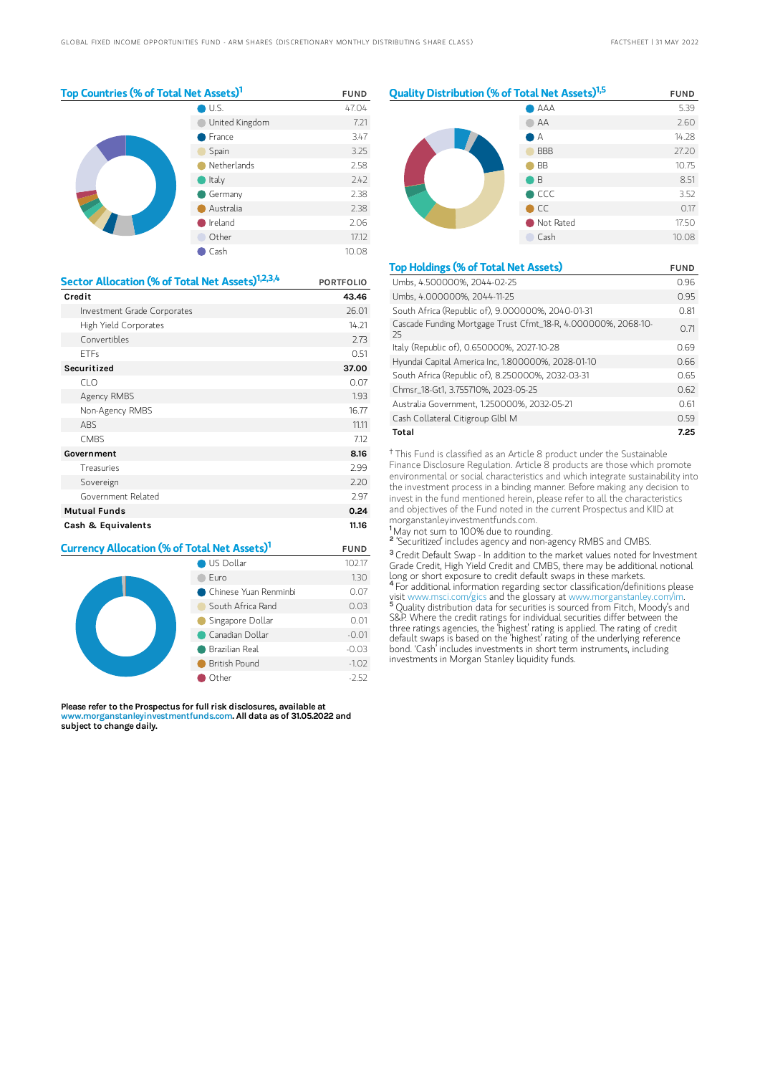$1,324$ 

| Top Countries (% of Total Net Assets) <sup>1</sup> |           | <b>FUND</b> |
|----------------------------------------------------|-----------|-------------|
|                                                    | U.S.      | 47.04       |
| United Kingdom                                     |           | 7.21        |
|                                                    | France    | 3.47        |
|                                                    | Spain     | 3.25        |
| Netherlands                                        | 2.58      |             |
|                                                    | Italy     | 2.42        |
|                                                    | Germany   | 2.38        |
|                                                    | Australia | 2.38        |
|                                                    | Ireland   | 2.06        |
|                                                    | Other     | 17.12       |
| Cash                                               |           | 10.08       |

| Sector Allocation (% of Total Net Assets) <sup>1,2,3,4</sup> | <b>PORTFOLIO</b> |
|--------------------------------------------------------------|------------------|
| Credit                                                       | 43.46            |
| Investment Grade Corporates                                  | 26.01            |
| High Yield Corporates                                        | 14.21            |
| Convertibles                                                 | 2.73             |
| <b>ETFs</b>                                                  | 0.51             |
| Securitized                                                  | 37.00            |
| CLO                                                          | 0.07             |
| Agency RMBS                                                  | 1.93             |
| Non-Agency RMBS                                              | 16.77            |
| <b>ABS</b>                                                   | 11.11            |
| <b>CMBS</b>                                                  | 7.12             |
| Government                                                   | 8.16             |
| Treasuries                                                   | 2.99             |
| Sovereign                                                    | 2.20             |
| Government Related                                           | 2.97             |
| <b>Mutual Funds</b>                                          | 0.24             |
| Cash & Equivalents                                           | 11.16            |

| <b>Currency Allocation (% of Total Net Assets)1</b>                                         | <b>FUND</b>             |         |
|---------------------------------------------------------------------------------------------|-------------------------|---------|
|                                                                                             | US Dollar               | 102.17  |
|                                                                                             | Furo                    | 1.30    |
|                                                                                             | ● Chinese Yuan Renminbi | 0.07    |
| South Africa Rand<br>Singapore Dollar<br>Canadian Dollar<br>Brazilian Real<br>British Pound |                         | 0.03    |
|                                                                                             |                         | 0.01    |
|                                                                                             |                         | $-0.01$ |
|                                                                                             |                         | $-0.03$ |
|                                                                                             |                         | $-1.02$ |
|                                                                                             | $-2.52$                 |         |

Please refer to the Prospectus for full risk disclosures, available at www.morganstanleyinvestmentfunds.com. All data as of 31.05.2022 and subject to change daily.

| Quality Distribution (% of Total Net Assets) <sup>1,5</sup> | <b>FUND</b>   |       |
|-------------------------------------------------------------|---------------|-------|
|                                                             | AAA           | 5.39  |
|                                                             | AA            | 2.60  |
|                                                             | A             | 14.28 |
|                                                             | <b>BBB</b>    | 27.20 |
|                                                             | <b>BB</b>     | 10.75 |
|                                                             | B             | 8.51  |
|                                                             | $\bullet$ CCC | 3.52  |
|                                                             | $\bigcirc$ CC | 0.17  |
|                                                             | Not Rated     | 17.50 |
| Cash                                                        |               | 10.08 |
|                                                             |               |       |

| <b>Top Holdings (% of Total Net Assets)</b>                         | <b>FUND</b> |
|---------------------------------------------------------------------|-------------|
| Umbs, 4.500000%, 2044-02-25                                         | 0.96        |
| Umbs, 4.000000%, 2044-11-25                                         | 0.95        |
| South Africa (Republic of), 9.000000%, 2040-01-31                   | 0.81        |
| Cascade Funding Mortgage Trust Cfmt_18-R, 4.000000%, 2068-10-<br>25 | 0.71        |
| Italy (Republic of), 0.650000%, 2027-10-28                          | 0.69        |
| Hyundai Capital America Inc, 1.800000%, 2028-01-10                  | 0.66        |
| South Africa (Republic of), 8.250000%, 2032-03-31                   | 0.65        |
| Chmsr_18-Gt1, 3.755710%, 2023-05-25                                 | 0.62        |
| Australia Government, 1.250000%, 2032-05-21                         | 0.61        |
| Cash Collateral Citigroup Glbl M                                    | 0.59        |
| Total                                                               | 7.25        |

<sup>†</sup> This Fund is classified as an Article 8 product under the Sustainable Finance Disclosure Regulation. Article 8 products are those which promote environmental or social characteristics and which integrate sustainability into the investment process in a binding manner. Before making any decision to invest in the fund mentioned herein, please refer to all the characteristics and objectives of the Fund noted in the current Prospectus and KIID at morganstanleyinvestmentfunds.com.

<sup>1</sup>May not sum to 100% due to rounding.

<sup>2</sup> 'Securitized' includes agency and non-agency RMBS and CMBS.

<sup>3</sup> Credit Default Swap - In addition to the market values noted for Investment Grade Credit, High Yield Credit and CMBS, there may be additional notional long or short exposure to credit default swaps in these markets. <sup>4</sup> For additional information regarding sector classification/definitions please

visit www.msci.com/gics and the glossary at www.morganstanley.com/im. Quality distribution data for securities is sourced from Fitch, Moody's and S&P. Where the credit ratings for individual securities differ between the three ratings agencies, the 'highest' rating is applied. The rating of credit default swaps is based on the 'highest' rating of the underlying reference bond. 'Cash' includes investments in short term instruments, including investments in Morgan Stanley liquidity funds. 5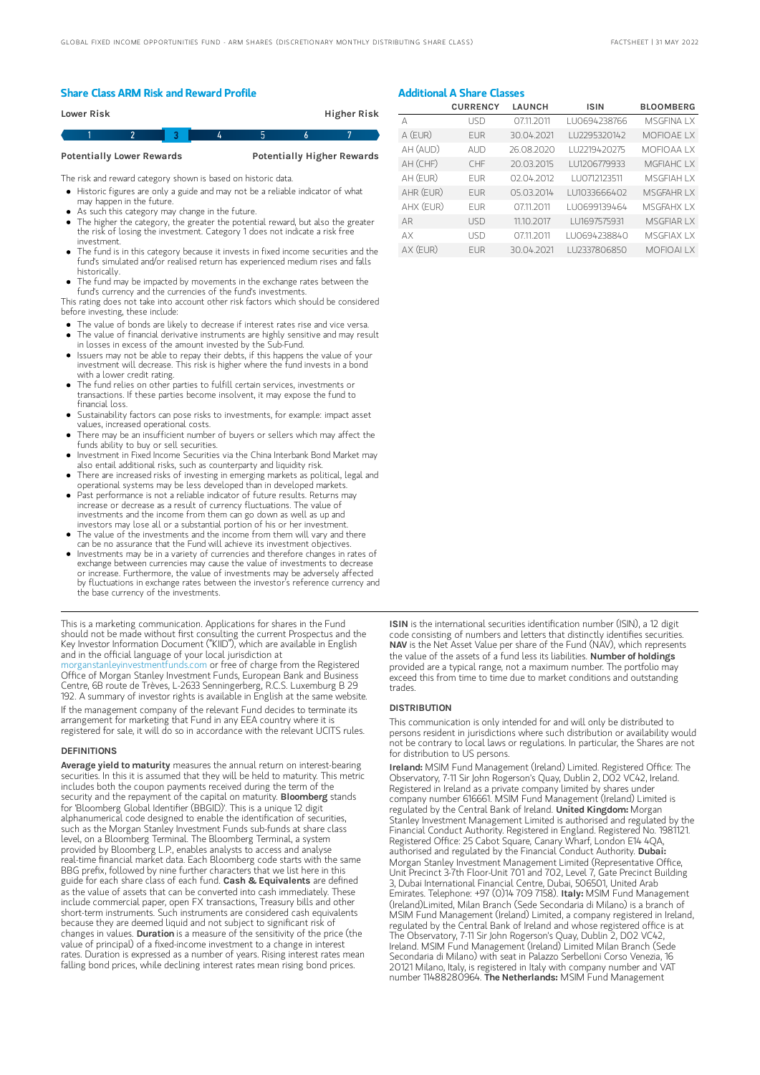#### Share Class ARM Risk and Reward Profile

| Lower Risk |  |  | Higher Risk |
|------------|--|--|-------------|
|            |  |  |             |

Potentially Lower Rewards Potentially Higher Rewards

The risk and reward category shown is based on historic data.

- Historic figures are only a guide and may not be a reliable indicator of what may happen in the future.
- As such this category may change in the future.
- The higher the category, the greater the potential reward, but also the greater the risk of losing the investment. Category 1 does not indicate a risk free investment.
- The fund is in this category because it invests in fixed income securities and the fund's simulated and/or realised return has experienced medium rises and falls historically.
- The fund may be impacted by movements in the exchange rates between the fund's currency and the currencies of the fund's investments.

This rating does not take into account other risk factors which should be considered before investing, these include:

- The value of bonds are likely to decrease if interest rates rise and vice versa.
- The value of financial derivative instruments are highly sensitive and may result in losses in excess of the amount invested by the Sub-Fund.
- Issuers may not be able to repay their debts, if this happens the value of your investment will decrease. This risk is higher where the fund invests in a bond with a lower credit rating.
- The fund relies on other parties to fulfill certain services, investments or transactions. If these parties become insolvent, it may expose the fund to financial loss.
- Sustainability factors can pose risks to investments, for example: impact asset values, increased operational costs.
- There may be an insufficient number of buyers or sellers which may affect the funds ability to buy or sell securities.
- Investment in Fixed Income Securities via the China Interbank Bond Market may also entail additional risks, such as counterparty and liquidity risk.
- There are increased risks of investing in emerging markets as political, legal and operational systems may be less developed than in developed markets.
- Past performance is not a reliable indicator of future results. Returns may increase or decrease as a result of currency fluctuations. The value of investments and the income from them can go down as well as up and investors may lose all or a substantial portion of his or her investment.
- The value of the investments and the income from them will vary and there can be no assurance that the Fund will achieve its investment objectives.
- $\bullet$ Investments may be in a variety of currencies and therefore changes in rates of exchange between currencies may cause the value of investments to decrease or increase. Furthermore, the value of investments may be adversely affected by fluctuations in exchange rates between the investor's reference currency and the base currency of the investments.

This is a marketing communication. Applications for shares in the Fund should not be made without first consulting the current Prospectus and the Key Investor Information Document ("KIID"), which are available in English and in the official language of your local jurisdiction at<br>morganstanleyinvestmentfunds.com or free of charge from the Registered [morganstanleyinvestmentfunds.com](https://www.morganstanley.com/im/msinvf/index.html) or free of charge from the Registered Office of Morgan Stanley Investment Funds, European Bank and Business Centre, 6B route de Trèves, L-2633 Senningerberg, R.C.S. Luxemburg B 29 192. A summary of investor rights is available in English at the same website.

If the management company of the relevant Fund decides to terminate its arrangement for marketing that Fund in any EEA country where it is registered for sale, it will do so in accordance with the relevant UCITS rules.

#### **DEFINITIONS**

Average yield to maturity measures the annual return on interest-bearing securities. In this it is assumed that they will be held to maturity. This metric includes both the coupon payments received during the term of the security and the repayment of the capital on maturity. **Bloomberg** stands for 'Bloomberg Global Identifier (BBGID)'. This is a unique 12 digit alphanumerical code designed to enable the identification of securities, such as the Morgan Stanley Investment Funds sub-funds at share class level, on a Bloomberg Terminal. The Bloomberg Terminal, a system provided by Bloomberg L.P., enables analysts to access and analyse real-time financial market data. Each Bloomberg code starts with the same BBG prefix, followed by nine further characters that we list here in this guide for each share class of each fund. Cash & Equivalents are defined as the value of assets that can be converted into cash immediately. These include commercial paper, open FX transactions, Treasury bills and other short-term instruments. Such instruments are considered cash equivalents because they are deemed liquid and not subject to significant risk of changes in values. Duration is a measure of the sensitivity of the price (the value of principal) of a fixed-income investment to a change in interest rates. Duration is expressed as a number of years. Rising interest rates mean falling bond prices, while declining interest rates mean rising bond prices

### Additional A Share Classes

|           | <b>CURRENCY</b> | <b>LAUNCH</b> | <b>ISIN</b>   | <b>BLOOMBERG</b>   |
|-----------|-----------------|---------------|---------------|--------------------|
| А         | <b>USD</b>      | 07.11.2011    | LU0694238766  | MSGFINA I X        |
| A (EUR)   | <b>FUR</b>      | 30.04.2021    | LU2295320142  | <b>MOFIOAE LX</b>  |
| AH (AUD)  | AUD             | 26.08.2020    | LU2219420275  | <b>MOFIOAAIX</b>   |
| AH (CHF)  | CHF             | 20.03.2015    | LU1206779933  | MGFIAHC IX         |
| AH (EUR)  | <b>FUR</b>      | 02.04.2012    | I U0712123511 | <b>MSGFIAH I X</b> |
| AHR (EUR) | <b>FUR</b>      | 05.03.2014    | LU1033666402  | <b>MSGFAHRLX</b>   |
| AHX (EUR) | <b>FUR</b>      | 07.11.2011    | LU0699139464  | MSGFAHX IX         |
| AR        | <b>USD</b>      | 11.10.2017    | LU1697575931  | MSGFIAR I X        |
| AX        | <b>USD</b>      | 07.11.2011    | LU0694238840  | <b>MSGFIAX IX</b>  |
| AX (EUR)  | <b>FUR</b>      | 30.04.2021    | LU2337806850  | <b>MOFIOAILX</b>   |

ISIN is the international securities identification number (ISIN), a 12 digit code consisting of numbers and letters that distinctly identifies securities. NAV is the Net Asset Value per share of the Fund (NAV), which represents the value of the assets of a fund less its liabilities. Number of holdings provided are a typical range, not a maximum number. The portfolio may exceed this from time to time due to market conditions and outstanding trades.

#### **DISTRIBUTION**

This communication is only intended for and will only be distributed to persons resident in jurisdictions where such distribution or availability would not be contrary to local laws or regulations. In particular, the Shares are not for distribution to US persons.

Ireland: MSIM Fund Management (Ireland) Limited. Registered Office: The Observatory, 7-11 Sir John Rogerson's Quay, Dublin 2, D02 VC42, Ireland. Registered in Ireland as a private company limited by shares under company number 616661. MSIM Fund Management (Ireland) Limited is regulated by the Central Bank of Ireland. United Kingdom: Morgan Stanley Investment Management Limited is authorised and regulated by the Financial Conduct Authority. Registered in England. Registered No. 1981121. Registered Office: 25 Cabot Square, Canary Wharf, London E14 4QA, authorised and regulated by the Financial Conduct Authority. Dubai: Morgan Stanley Investment Management Limited (Representative Office, Unit Precinct 3-7th Floor-Unit 701 and 702, Level 7, Gate Precinct Building 3, Dubai International Financial Centre, Dubai, 506501, United Arab<br>Emirates. Telephone: +97 (0)14 709 7158). I**taly:** MSIM Fund Management (Ireland)Limited, Milan Branch (Sede Secondaria di Milano) is a branch of MSIM Fund Management (Ireland) Limited, a company registered in Ireland, regulated by the Central Bank of Ireland and whose registered office is at The Observatory, 7-11 Sir John Rogerson's Quay, Dublin 2, D02 VC42, Ireland. MSIM Fund Management (Ireland) Limited Milan Branch (Sede Secondaria di Milano) with seat in Palazzo Serbelloni Corso Venezia, 16 20121 Milano, Italy, is registered in Italy with company number and VAT number 11488280964. The Netherlands: MSIM Fund Management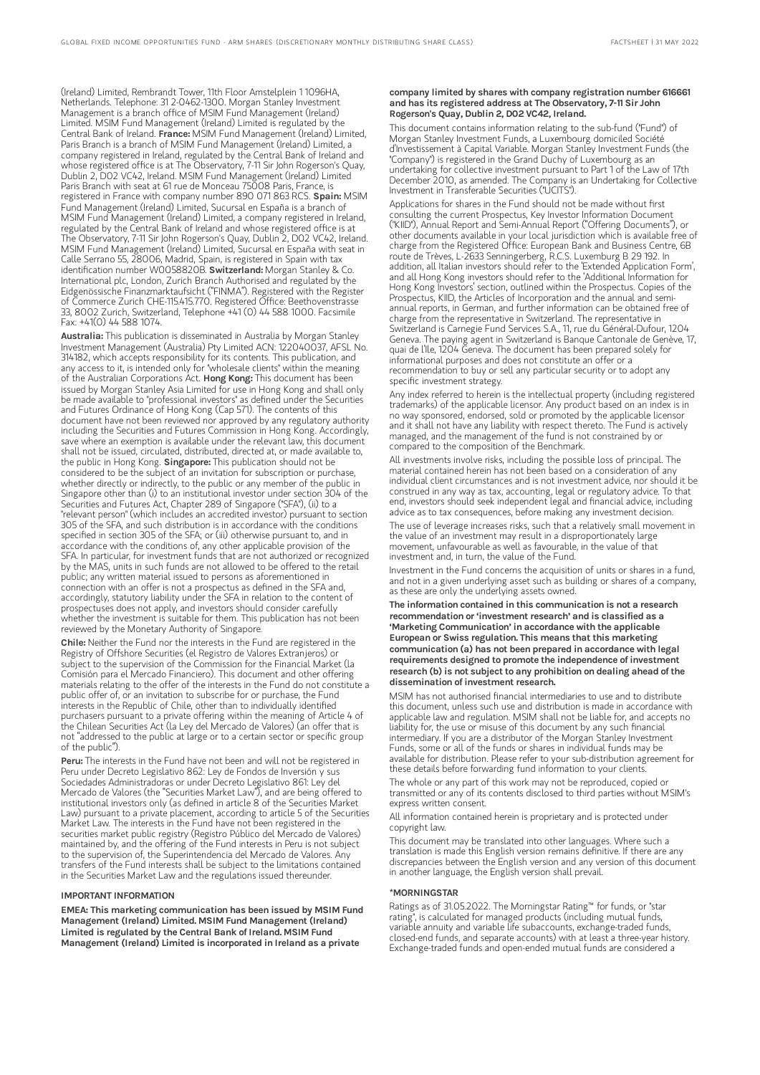(Ireland) Limited, Rembrandt Tower, 11th Floor Amstelplein 1 1096HA, Netherlands. Telephone: 31 2-0462-1300. Morgan Stanley Investment Management is a branch office of MSIM Fund Management (Ireland) Limited. MSIM Fund Management (Ireland) Limited is regulated by the Central Bank of Ireland. France: MSIM Fund Management (Ireland) Limited, Paris Branch is a branch of MSIM Fund Management (Ireland) Limited, a company registered in Ireland, regulated by the Central Bank of Ireland and whose registered office is at The Observatory, 7-11 Sir John Rogerson's Quay, Dublin 2, D02 VC42, Ireland. MSIM Fund Management (Ireland) Limited Paris Branch with seat at 61 rue de Monceau 75008 Paris, France, is registered in France with company number 890 071 863 RCS. Spain: MSIM Fund Management (Ireland) Limited, Sucursal en España is a branch of MSIM Fund Management (Ireland) Limited, a company registered in Ireland, regulated by the Central Bank of Ireland and whose registered office is at The Observatory, 7-11 Sir John Rogerson's Quay, Dublin 2, D02 VC42, Ireland. MSIM Fund Management (Ireland) Limited, Sucursal en España with seat in Calle Serrano 55, 28006, Madrid, Spain, is registered in Spain with tax<br>identification number W0058820B. **SwitzerIand:** Morgan Stanley & Co. International plc, London, Zurich Branch Authorised and regulated by the Eidgenössische Finanzmarktaufsicht ("FINMA"). Registered with the Register of Commerce Zurich CHE-115.415.770. Registered Office: Beethovenstrasse 33, 8002 Zurich, Switzerland, Telephone +41 (0) 44 588 1000. Facsimile Fax: +41(0) 44 588 1074.

Australia: This publication is disseminated in Australia by Morgan Stanley Investment Management (Australia) Pty Limited ACN: 122040037, AFSL No. 314182, which accepts responsibility for its contents. This publication, and any access to it, is intended only for "wholesale clients" within the meaning of the Australian Corporations Act. Hong Kong: This document has been issued by Morgan Stanley Asia Limited for use in Hong Kong and shall only be made available to "professional investors" as defined under the Securities and Futures Ordinance of Hong Kong (Cap 571). The contents of this document have not been reviewed nor approved by any regulatory authority including the Securities and Futures Commission in Hong Kong. Accordingly, save where an exemption is available under the relevant law, this document shall not be issued, circulated, distributed, directed at, or made available to, the public in Hong Kong. Singapore: This publication should not be considered to be the subject of an invitation for subscription or purchase, whether directly or indirectly, to the public or any member of the public in Singapore other than (i) to an institutional investor under section 304 of the Securities and Futures Act, Chapter 289 of Singapore ("SFA"), (ii) to a "relevant person" (which includes an accredited investor) pursuant to section 305 of the SFA, and such distribution is in accordance with the conditions specified in section 305 of the SFA; or (iii) otherwise pursuant to, and in accordance with the conditions of, any other applicable provision of the SFA. In particular, for investment funds that are not authorized or recognized by the MAS, units in such funds are not allowed to be offered to the retail public; any written material issued to persons as aforementioned in connection with an offer is not a prospectus as defined in the SFA and, accordingly, statutory liability under the SFA in relation to the content of prospectuses does not apply, and investors should consider carefully whether the investment is suitable for them. This publication has not been reviewed by the Monetary Authority of Singapore.

Chile: Neither the Fund nor the interests in the Fund are registered in the Registry of Offshore Securities (el Registro de Valores Extranjeros) or subject to the supervision of the Commission for the Financial Market (la Comisión para el Mercado Financiero). This document and other offering materials relating to the offer of the interests in the Fund do not constitute a public offer of, or an invitation to subscribe for or purchase, the Fund interests in the Republic of Chile, other than to individually identified purchasers pursuant to a private offering within the meaning of Article 4 of the Chilean Securities Act (la Ley del Mercado de Valores) (an offer that is not "addressed to the public at large or to a certain sector or specific group of the public").

Peru: The interests in the Fund have not been and will not be registered in Peru under Decreto Legislativo 862: Ley de Fondos de Inversión y sus Sociedades Administradoras or under Decreto Legislativo 861: Ley del Mercado de Valores (the "Securities Market Law"), and are being offered to institutional investors only (as defined in article 8 of the Securities Market Law) pursuant to a private placement, according to article 5 of the Securities Market Law. The interests in the Fund have not been registered in the securities market public registry (Registro Público del Mercado de Valores) maintained by, and the offering of the Fund interests in Peru is not subject to the supervision of, the Superintendencia del Mercado de Valores. Any transfers of the Fund interests shall be subject to the limitations contained in the Securities Market Law and the regulations issued thereunder.

#### IMPORTANT INFORMATION

EMEA: This marketing communication has been issued by MSIM Fund Management (Ireland) Limited. MSIM Fund Management (Ireland) Limited is regulated by the Central Bank of Ireland. MSIM Fund Management (Ireland) Limited is incorporated in Ireland as a private

#### company limited by shares with company registration number 616661 and has its registered address at The Observatory, 7-11 Sir John Rogerson's Quay, Dublin 2, D02 VC42, Ireland.

This document contains information relating to the sub-fund ("Fund") of Morgan Stanley Investment Funds, a Luxembourg domiciled Société d'Investissement à Capital Variable. Morgan Stanley Investment Funds (the "Company") is registered in the Grand Duchy of Luxembourg as an undertaking for collective investment pursuant to Part 1 of the Law of 17th December 2010, as amended. The Company is an Undertaking for Collective Investment in Transferable Securities ("UCITS").

Applications for shares in the Fund should not be made without first consulting the current Prospectus, Key Investor Information Document ("KIID"), Annual Report and Semi-Annual Report ("Offering Documents"), or other documents available in your local jurisdiction which is available free of charge from the Registered Office: European Bank and Business Centre, 6B route de Trèves, L-2633 Senningerberg, R.C.S. Luxemburg B 29 192. In addition, all Italian investors should refer to the 'Extended Application Form', and all Hong Kong investors should refer to the 'Additional Information for Hong Kong Investors' section, outlined within the Prospectus. Copies of the Prospectus, KIID, the Articles of Incorporation and the annual and semiannual reports, in German, and further information can be obtained free of charge from the representative in Switzerland. The representative in Switzerland is Carnegie Fund Services S.A., 11, rue du Général-Dufour, 1204 Geneva. The paying agent in Switzerland is Banque Cantonale de Genève, 17, quai de l'Ile, 1204 Geneva. The document has been prepared solely for informational purposes and does not constitute an offer or a recommendation to buy or sell any particular security or to adopt any specific investment strategy.

Any index referred to herein is the intellectual property (including registered trademarks) of the applicable licensor. Any product based on an index is in no way sponsored, endorsed, sold or promoted by the applicable licensor and it shall not have any liability with respect thereto. The Fund is actively managed, and the management of the fund is not constrained by or compared to the composition of the Benchmark.

All investments involve risks, including the possible loss of principal. The material contained herein has not been based on a consideration of any individual client circumstances and is not investment advice, nor should it be construed in any way as tax, accounting, legal or regulatory advice. To that end, investors should seek independent legal and financial advice, including advice as to tax consequences, before making any investment decision.

The use of leverage increases risks, such that a relatively small movement in the value of an investment may result in a disproportionately large movement, unfavourable as well as favourable, in the value of that investment and, in turn, the value of the Fund.

Investment in the Fund concerns the acquisition of units or shares in a fund, and not in a given underlying asset such as building or shares of a company, as these are only the underlying assets owned.

The information contained in this communication is not a research recommendation or 'investment research' and is classified as a 'Marketing Communication' in accordance with the applicable European or Swiss regulation. This means that this marketing communication (a) has not been prepared in accordance with legal requirements designed to promote the independence of investment research (b) is not subject to any prohibition on dealing ahead of the dissemination of investment research.

MSIM has not authorised financial intermediaries to use and to distribute this document, unless such use and distribution is made in accordance with applicable law and regulation. MSIM shall not be liable for, and accepts no liability for, the use or misuse of this document by any such financial intermediary. If you are a distributor of the Morgan Stanley Investment Funds, some or all of the funds or shares in individual funds may be available for distribution. Please refer to your sub-distribution agreement for these details before forwarding fund information to your clients.

The whole or any part of this work may not be reproduced, copied or transmitted or any of its contents disclosed to third parties without MSIM's express written consent.

All information contained herein is proprietary and is protected under copyright law.

This document may be translated into other languages. Where such a translation is made this English version remains definitive. If there are any discrepancies between the English version and any version of this document in another language, the English version shall prevail.

#### \*MORNINGSTAR

Ratings as of 31.05.2022. The Morningstar Rating™ for funds, or "star rating", is calculated for managed products (including mutual funds, variable annuity and variable life subaccounts, exchange-traded funds, closed-end funds, and separate accounts) with at least a three-year history. Exchange-traded funds and open-ended mutual funds are considered a